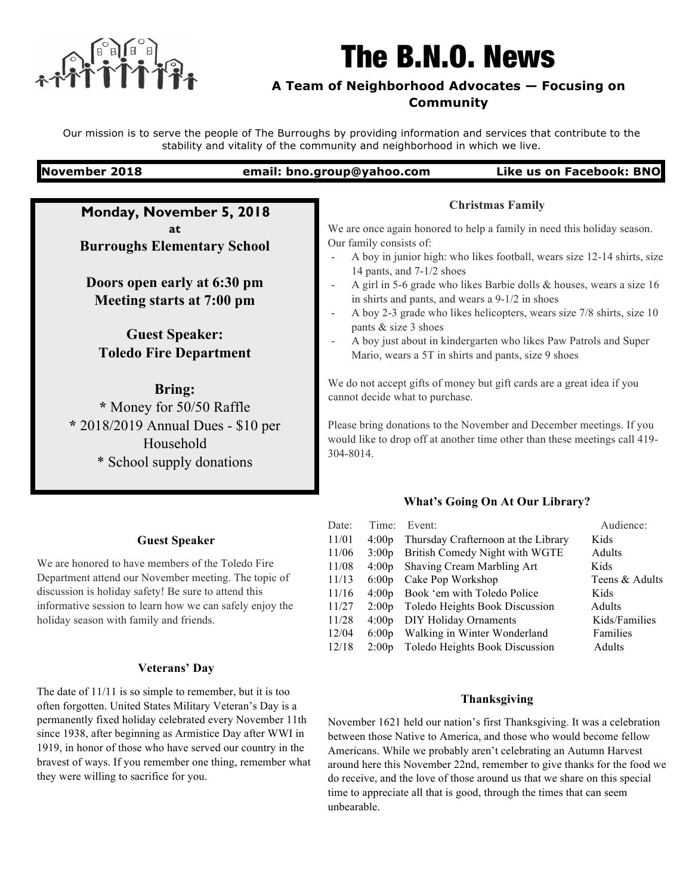

# The B.N.O. News

# **A Team of Neighborhood Advocates — Focusing on Community**

Our mission is to serve the people of The Burroughs by providing information and services that contribute to the stability and vitality of the community and neighborhood in which we live.

### **November 2018 email: bno.group@yahoo.com Like us on Facebook: BNO**

**Monday, November 5, 2018 at Burroughs Elementary School**

**Doors open early at 6:30 pm Meeting starts at 7:00 pm**

**Guest Speaker: Toledo Fire Department** 

### **Bring:**

**\*** Money for 50/50 Raffle **\*** 2018/2019 Annual Dues - \$10 per Household \* School supply donations

## **Guest Speaker**

We are honored to have members of the Toledo Fire Department attend our November meeting. The topic of discussion is holiday safety! Be sure to attend this informative session to learn how we can safely enjoy the holiday season with family and friends.

### **Veterans' Day**

The date of 11/11 is so simple to remember, but it is too often forgotten. United States Military Veteran's Day is a permanently fixed holiday celebrated every November 11th since 1938, after beginning as Armistice Day after WWI in 1919, in honor of those who have served our country in the bravest of ways. If you remember one thing, remember what they were willing to sacrifice for you.

### **Christmas Family**

We are once again honored to help a family in need this holiday season. Our family consists of:

- A boy in junior high: who likes football, wears size 12-14 shirts, size 14 pants, and 7-1/2 shoes
- A girl in 5-6 grade who likes Barbie dolls & houses, wears a size 16 in shirts and pants, and wears a 9-1/2 in shoes
- A boy 2-3 grade who likes helicopters, wears size 7/8 shirts, size 10 pants & size 3 shoes
- A boy just about in kindergarten who likes Paw Patrols and Super Mario, wears a 5T in shirts and pants, size 9 shoes

We do not accept gifts of money but gift cards are a great idea if you cannot decide what to purchase.

Please bring donations to the November and December meetings. If you would like to drop off at another time other than these meetings call 419- 304-8014.

### **What's Going On At Our Library?**

| Date: | Time:             | Event:                              | Audience:      |
|-------|-------------------|-------------------------------------|----------------|
| 11/01 | 4:00 <sub>p</sub> | Thursday Crafternoon at the Library | Kids           |
| 11/06 | 3:00p             | British Comedy Night with WGTE      | Adults         |
| 11/08 | 4:00 <sub>p</sub> | Shaving Cream Marbling Art          | Kids           |
| 11/13 | 6:00p             | Cake Pop Workshop                   | Teens & Adults |
| 11/16 | 4:00 <sub>p</sub> | Book 'em with Toledo Police         | Kids           |
| 11/27 | 2:00p             | Toledo Heights Book Discussion      | Adults         |
| 11/28 | 4:00 <sub>p</sub> | <b>DIY Holiday Ornaments</b>        | Kids/Families  |
| 12/04 | 6:00p             | Walking in Winter Wonderland        | Families       |
| 12/18 | 2:00p             | Toledo Heights Book Discussion      | Adults         |

### **Thanksgiving**

November 1621 held our nation's first Thanksgiving. It was a celebration between those Native to America, and those who would become fellow Americans. While we probably aren't celebrating an Autumn Harvest around here this November 22nd, remember to give thanks for the food we do receive, and the love of those around us that we share on this special time to appreciate all that is good, through the times that can seem unbearable.